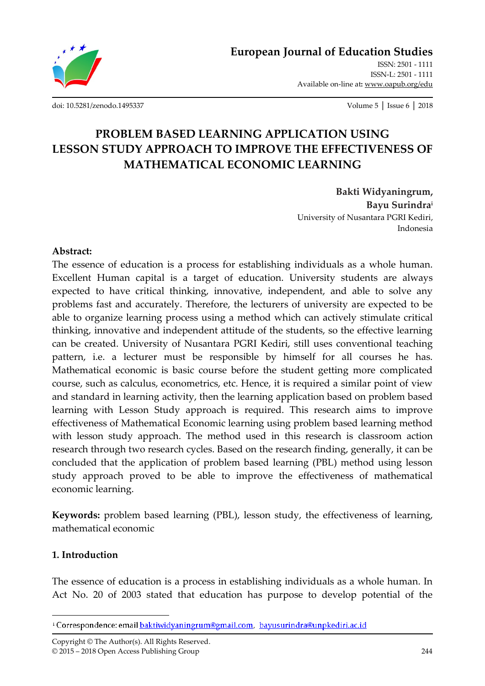

**European Journal of Education Studies**

ISSN: 2501 - 1111 ISSN-L: 2501 - 1111 Available on-line at**:** www.oapub.org/edu

[doi: 10.5281/zenodo.1495337](http://dx.doi.org/10.5281/zenodo.1495337) Volume 5 │ Issue 6 │ 2018

# **PROBLEM BASED LEARNING APPLICATION USING LESSON STUDY APPROACH TO IMPROVE THE EFFECTIVENESS OF MATHEMATICAL ECONOMIC LEARNING**

**Bakti Widyaningrum, Bayu Surindra<sup>i</sup>** University of Nusantara PGRI Kediri, Indonesia

### **Abstract:**

The essence of education is a process for establishing individuals as a whole human. Excellent Human capital is a target of education. University students are always expected to have critical thinking, innovative, independent, and able to solve any problems fast and accurately. Therefore, the lecturers of university are expected to be able to organize learning process using a method which can actively stimulate critical thinking, innovative and independent attitude of the students, so the effective learning can be created. University of Nusantara PGRI Kediri, still uses conventional teaching pattern, i.e. a lecturer must be responsible by himself for all courses he has. Mathematical economic is basic course before the student getting more complicated course, such as calculus, econometrics, etc. Hence, it is required a similar point of view and standard in learning activity, then the learning application based on problem based learning with Lesson Study approach is required. This research aims to improve effectiveness of Mathematical Economic learning using problem based learning method with lesson study approach. The method used in this research is classroom action research through two research cycles. Based on the research finding, generally, it can be concluded that the application of problem based learning (PBL) method using lesson study approach proved to be able to improve the effectiveness of mathematical economic learning.

**Keywords:** problem based learning (PBL), lesson study, the effectiveness of learning, mathematical economic

### **1. Introduction**

 $\overline{\phantom{a}}$ 

The essence of education is a process in establishing individuals as a whole human. In Act No. 20 of 2003 stated that education has purpose to develop potential of the

Copyright © The Author(s). All Rights Reserved. © 2015 – 2018 Open Access Publishing Group 244

<sup>&</sup>lt;sup>1</sup> Correspondence: email baktiwidyaningrum@gmail.com, bayusurindra@unpkediri.ac.id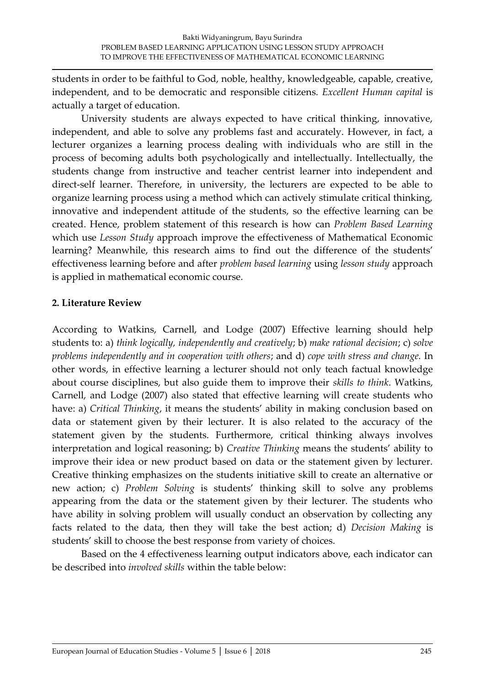students in order to be faithful to God, noble, healthy, knowledgeable, capable, creative, independent, and to be democratic and responsible citizens. *Excellent Human capital* is actually a target of education.

University students are always expected to have critical thinking, innovative, independent, and able to solve any problems fast and accurately. However, in fact, a lecturer organizes a learning process dealing with individuals who are still in the process of becoming adults both psychologically and intellectually. Intellectually, the students change from instructive and teacher centrist learner into independent and direct-self learner. Therefore, in university, the lecturers are expected to be able to organize learning process using a method which can actively stimulate critical thinking, innovative and independent attitude of the students, so the effective learning can be created. Hence, problem statement of this research is how can *Problem Based Learning* which use *Lesson Study* approach improve the effectiveness of Mathematical Economic learning? Meanwhile, this research aims to find out the difference of the students' effectiveness learning before and after *problem based learning* using *lesson study* approach is applied in mathematical economic course.

# **2. Literature Review**

According to Watkins, Carnell, and Lodge (2007) Effective learning should help students to: a) *think logically, independently and creatively*; b) *make rational decision*; c) *solve problems independently and in cooperation with others*; and d) *cope with stress and change.* In other words, in effective learning a lecturer should not only teach factual knowledge about course disciplines, but also guide them to improve their *skills to think*. Watkins, Carnell, and Lodge (2007) also stated that effective learning will create students who have: a) *Critical Thinking*, it means the students' ability in making conclusion based on data or statement given by their lecturer. It is also related to the accuracy of the statement given by the students. Furthermore, critical thinking always involves interpretation and logical reasoning; b) *Creative Thinking* means the students' ability to improve their idea or new product based on data or the statement given by lecturer. Creative thinking emphasizes on the students initiative skill to create an alternative or new action; c) *Problem Solving* is students' thinking skill to solve any problems appearing from the data or the statement given by their lecturer. The students who have ability in solving problem will usually conduct an observation by collecting any facts related to the data, then they will take the best action; d) *Decision Making* is students' skill to choose the best response from variety of choices.

Based on the 4 effectiveness learning output indicators above, each indicator can be described into *involved skills* within the table below: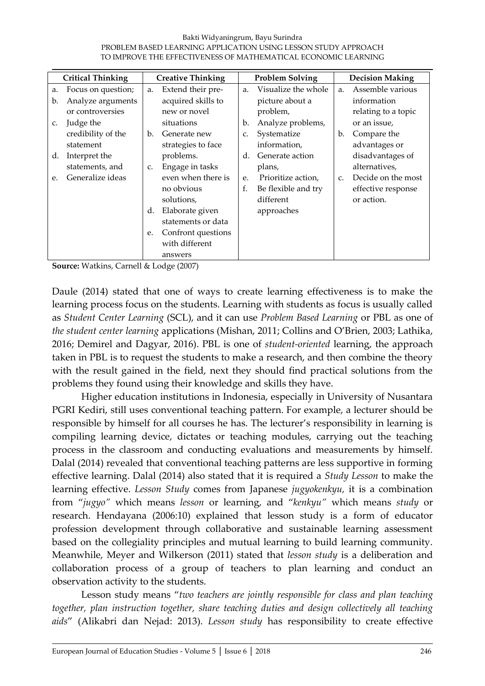#### Bakti Widyaningrum, Bayu Surindra PROBLEM BASED LEARNING APPLICATION USING LESSON STUDY APPROACH TO IMPROVE THE EFFECTIVENESS OF MATHEMATICAL ECONOMIC LEARNING

| <b>Critical Thinking</b> |                    | <b>Creative Thinking</b> |                    | <b>Problem Solving</b> |                     | <b>Decision Making</b> |                     |
|--------------------------|--------------------|--------------------------|--------------------|------------------------|---------------------|------------------------|---------------------|
| a.                       | Focus on question; | a.                       | Extend their pre-  | a.                     | Visualize the whole | a.                     | Assemble various    |
| b.                       | Analyze arguments  |                          | acquired skills to |                        | picture about a     |                        | information         |
|                          | or controversies   |                          | new or novel       |                        | problem,            |                        | relating to a topic |
| $C_{\star}$              | Judge the          |                          | situations         | b.                     | Analyze problems,   |                        | or an issue,        |
|                          | credibility of the | b.                       | Generate new       | C.                     | Systematize         | $\mathbf{b}$ .         | Compare the         |
|                          | statement          |                          | strategies to face |                        | information,        |                        | advantages or       |
| d.                       | Interpret the      |                          | problems.          | d.                     | Generate action     |                        | disadvantages of    |
|                          | statements, and    | C.                       | Engage in tasks    |                        | plans,              |                        | alternatives,       |
| e.                       | Generalize ideas   |                          | even when there is | e.                     | Prioritize action,  | $C_{\star}$            | Decide on the most  |
|                          |                    |                          | no obvious         | f.                     | Be flexible and try |                        | effective response  |
|                          |                    |                          | solutions,         |                        | different           |                        | or action.          |
|                          |                    | d.                       | Elaborate given    |                        | approaches          |                        |                     |
|                          |                    |                          | statements or data |                        |                     |                        |                     |
|                          |                    | e.                       | Confront questions |                        |                     |                        |                     |
|                          |                    |                          | with different     |                        |                     |                        |                     |
|                          |                    |                          | answers            |                        |                     |                        |                     |

**Source:** Watkins, Carnell & Lodge (2007)

Daule (2014) stated that one of ways to create learning effectiveness is to make the learning process focus on the students. Learning with students as focus is usually called as *Student Center Learning* (SCL), and it can use *Problem Based Learning* or PBL as one of *the student center learning* applications (Mishan, 2011; Collins and O'Brien, 2003; Lathika, 2016; Demirel and Dagyar, 2016). PBL is one of *student-oriented* learning, the approach taken in PBL is to request the students to make a research, and then combine the theory with the result gained in the field, next they should find practical solutions from the problems they found using their knowledge and skills they have.

Higher education institutions in Indonesia, especially in University of Nusantara PGRI Kediri, still uses conventional teaching pattern. For example, a lecturer should be responsible by himself for all courses he has. The lecturer's responsibility in learning is compiling learning device, dictates or teaching modules, carrying out the teaching process in the classroom and conducting evaluations and measurements by himself. Dalal (2014) revealed that conventional teaching patterns are less supportive in forming effective learning. Dalal (2014) also stated that it is required a *Study Lesson* to make the learning effective. *Lesson Study* comes from Japanese *jugyokenkyu,* it is a combination from "*jugyo"* which means *lesson* or learning, and "*kenkyu"* which means *study* or research. Hendayana (2006:10) explained that lesson study is a form of educator profession development through collaborative and sustainable learning assessment based on the collegiality principles and mutual learning to build learning community. Meanwhile, Meyer and Wilkerson (2011) stated that *lesson study* is a deliberation and collaboration process of a group of teachers to plan learning and conduct an observation activity to the students.

Lesson study means "*two teachers are jointly responsible for class and plan teaching together, plan instruction together, share teaching duties and design collectively all teaching aids*" (Alikabri dan Nejad: 2013). *Lesson study* has responsibility to create effective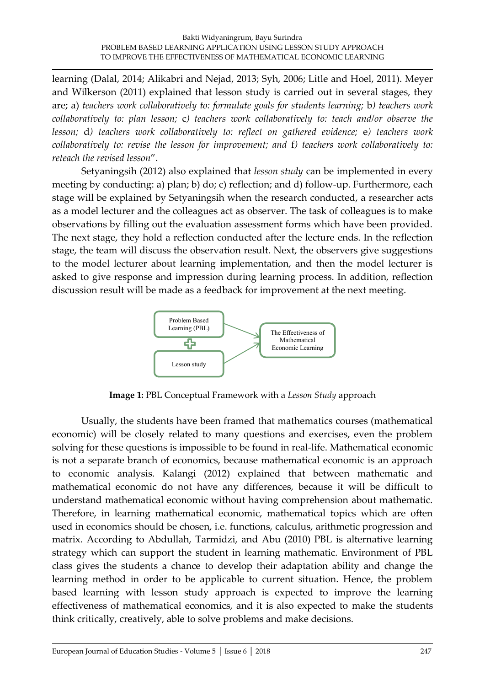learning (Dalal, 2014; Alikabri and Nejad, 2013; Syh, 2006; Litle and Hoel, 2011). Meyer and Wilkerson (2011) explained that lesson study is carried out in several stages, they are; a) *teachers work collaboratively to: formulate goals for students learning;* b*) teachers work collaboratively to: plan lesson;* c*) teachers work collaboratively to: teach and/or observe the lesson;* d*) teachers work collaboratively to: reflect on gathered evidence;* e*) teachers work collaboratively to: revise the lesson for improvement; and* f*) teachers work collaboratively to: reteach the revised lesson*".

Setyaningsih (2012) also explained that *lesson study* can be implemented in every meeting by conducting: a) plan; b) do; c) reflection; and d) follow-up. Furthermore, each stage will be explained by Setyaningsih when the research conducted, a researcher acts as a model lecturer and the colleagues act as observer. The task of colleagues is to make observations by filling out the evaluation assessment forms which have been provided. The next stage, they hold a reflection conducted after the lecture ends. In the reflection stage, the team will discuss the observation result. Next, the observers give suggestions to the model lecturer about learning implementation, and then the model lecturer is asked to give response and impression during learning process. In addition, reflection discussion result will be made as a feedback for improvement at the next meeting.



**Image 1:** PBL Conceptual Framework with a *Lesson Study* approach

Usually, the students have been framed that mathematics courses (mathematical economic) will be closely related to many questions and exercises, even the problem solving for these questions is impossible to be found in real-life. Mathematical economic is not a separate branch of economics, because mathematical economic is an approach to economic analysis. Kalangi (2012) explained that between mathematic and mathematical economic do not have any differences, because it will be difficult to understand mathematical economic without having comprehension about mathematic. Therefore, in learning mathematical economic, mathematical topics which are often used in economics should be chosen, i.e. functions, calculus, arithmetic progression and matrix. According to Abdullah, Tarmidzi, and Abu (2010) PBL is alternative learning strategy which can support the student in learning mathematic. Environment of PBL class gives the students a chance to develop their adaptation ability and change the learning method in order to be applicable to current situation. Hence, the problem based learning with lesson study approach is expected to improve the learning effectiveness of mathematical economics, and it is also expected to make the students think critically, creatively, able to solve problems and make decisions.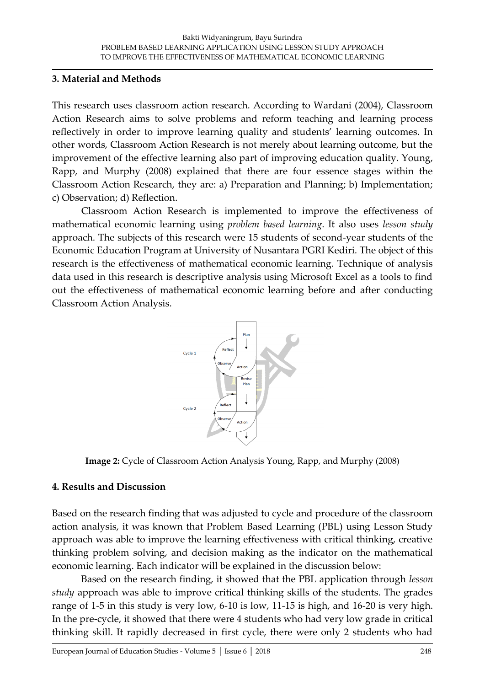## **3. Material and Methods**

This research uses classroom action research. According to Wardani (2004), Classroom Action Research aims to solve problems and reform teaching and learning process reflectively in order to improve learning quality and students' learning outcomes. In other words, Classroom Action Research is not merely about learning outcome, but the improvement of the effective learning also part of improving education quality. Young, Rapp, and Murphy (2008) explained that there are four essence stages within the Classroom Action Research, they are: a) Preparation and Planning; b) Implementation; c) Observation; d) Reflection.

Classroom Action Research is implemented to improve the effectiveness of mathematical economic learning using *problem based learning*. It also uses *lesson study* approach. The subjects of this research were 15 students of second-year students of the Economic Education Program at University of Nusantara PGRI Kediri. The object of this research is the effectiveness of mathematical economic learning. Technique of analysis data used in this research is descriptive analysis using Microsoft Excel as a tools to find out the effectiveness of mathematical economic learning before and after conducting Classroom Action Analysis.



**Image 2:** Cycle of Classroom Action Analysis Young, Rapp, and Murphy (2008)

# **4. Results and Discussion**

Based on the research finding that was adjusted to cycle and procedure of the classroom action analysis, it was known that Problem Based Learning (PBL) using Lesson Study approach was able to improve the learning effectiveness with critical thinking, creative thinking problem solving, and decision making as the indicator on the mathematical economic learning. Each indicator will be explained in the discussion below:

Based on the research finding, it showed that the PBL application through *lesson study* approach was able to improve critical thinking skills of the students. The grades range of 1-5 in this study is very low, 6-10 is low, 11-15 is high, and 16-20 is very high. In the pre-cycle, it showed that there were 4 students who had very low grade in critical thinking skill. It rapidly decreased in first cycle, there were only 2 students who had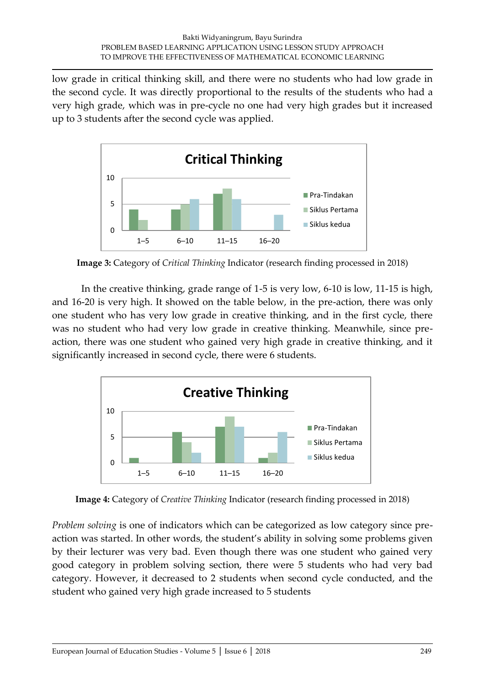low grade in critical thinking skill, and there were no students who had low grade in the second cycle. It was directly proportional to the results of the students who had a very high grade, which was in pre-cycle no one had very high grades but it increased up to 3 students after the second cycle was applied.



**Image 3:** Category of *Critical Thinking* Indicator (research finding processed in 2018)

In the creative thinking, grade range of 1-5 is very low, 6-10 is low, 11-15 is high, and 16-20 is very high. It showed on the table below, in the pre-action, there was only one student who has very low grade in creative thinking, and in the first cycle, there was no student who had very low grade in creative thinking. Meanwhile, since preaction, there was one student who gained very high grade in creative thinking, and it significantly increased in second cycle, there were 6 students.



**Image 4:** Category of *Creative Thinking* Indicator (research finding processed in 2018)

*Problem solving* is one of indicators which can be categorized as low category since preaction was started. In other words, the student's ability in solving some problems given by their lecturer was very bad. Even though there was one student who gained very good category in problem solving section, there were 5 students who had very bad category. However, it decreased to 2 students when second cycle conducted, and the student who gained very high grade increased to 5 students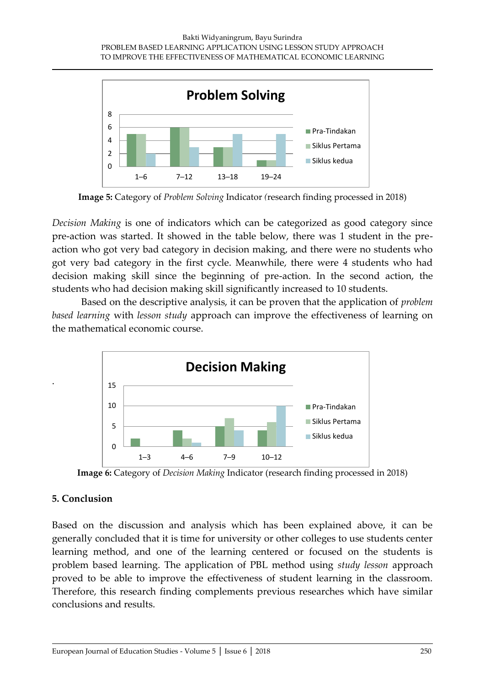

**Image 5:** Category of *Problem Solving* Indicator *(*research finding processed in 2018)

*Decision Making* is one of indicators which can be categorized as good category since pre-action was started. It showed in the table below, there was 1 student in the preaction who got very bad category in decision making, and there were no students who got very bad category in the first cycle. Meanwhile, there were 4 students who had decision making skill since the beginning of pre-action. In the second action, the students who had decision making skill significantly increased to 10 students.

Based on the descriptive analysis, it can be proven that the application of *problem based learning* with *lesson study* approach can improve the effectiveness of learning on the mathematical economic course.



**Image 6:** Category of *Decision Making* Indicator (research finding processed in 2018)

# **5. Conclusion**

.

Based on the discussion and analysis which has been explained above, it can be generally concluded that it is time for university or other colleges to use students center learning method, and one of the learning centered or focused on the students is problem based learning. The application of PBL method using *study lesson* approach proved to be able to improve the effectiveness of student learning in the classroom. Therefore, this research finding complements previous researches which have similar conclusions and results.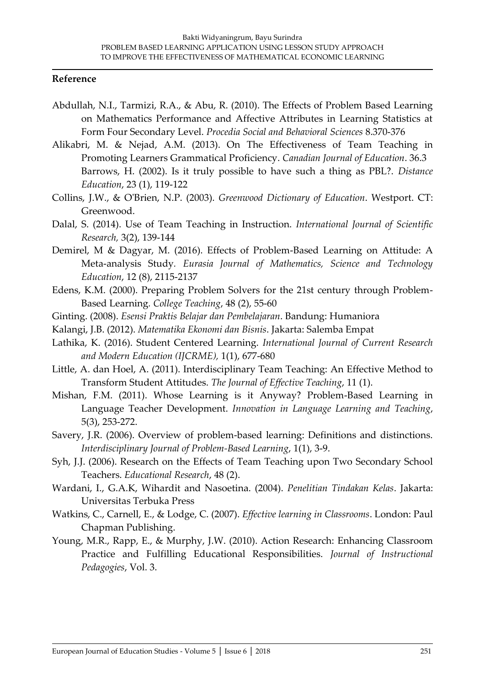### **Reference**

- Abdullah, N.I., Tarmizi, R.A., & Abu, R. (2010). The Effects of Problem Based Learning on Mathematics Performance and Affective Attributes in Learning Statistics at Form Four Secondary Level. *Procedia Social and Behavioral Sciences* 8.370-376
- Alikabri, M. & Nejad, A.M. (2013). On The Effectiveness of Team Teaching in Promoting Learners Grammatical Proficiency. *Canadian Journal of Education*. 36.3 Barrows, H. (2002). Is it truly possible to have such a thing as PBL?. *Distance Education*, 23 (1), 119-122
- Collins, J.W., & O'Brien, N.P. (2003). *Greenwood Dictionary of Education*. Westport. CT: Greenwood.
- Dalal, S. (2014). Use of Team Teaching in Instruction. *International Journal of Scientific Research,* 3(2), 139-144
- Demirel, M & Dagyar, M. (2016). Effects of Problem-Based Learning on Attitude: A Meta-analysis Study*. Eurasia Journal of Mathematics, Science and Technology Education*, 12 (8), 2115-2137
- Edens, K.M. (2000). Preparing Problem Solvers for the 21st century through Problem-Based Learning*. College Teaching*, 48 (2), 55-60
- Ginting. (2008). *Esensi Praktis Belajar dan Pembelajaran*. Bandung: Humaniora
- Kalangi, J.B. (2012). *Matematika Ekonomi dan Bisnis*. Jakarta: Salemba Empat
- Lathika, K. (2016). Student Centered Learning. *International Journal of Current Research and Modern Education (IJCRME),* 1(1), 677-680
- Little, A. dan Hoel, A. (2011). Interdisciplinary Team Teaching: An Effective Method to Transform Student Attitudes. *The Journal of Effective Teaching*, 11 (1).
- Mishan, F.M. (2011). Whose Learning is it Anyway? Problem-Based Learning in Language Teacher Development. *Innovation in Language Learning and Teaching*, 5(3), 253-272.
- Savery, J.R. (2006). Overview of problem-based learning: Definitions and distinctions. *Interdisciplinary Journal of Problem-Based Learning*, 1(1), 3-9.
- Syh, J.J. (2006). Research on the Effects of Team Teaching upon Two Secondary School Teachers. *Educational Research*, 48 (2).
- Wardani, I., G.A.K, Wihardit and Nasoetina. (2004). *Penelitian Tindakan Kelas*. Jakarta: Universitas Terbuka Press
- Watkins, C., Carnell, E., & Lodge, C. (2007). *Effective learning in Classrooms*. London: Paul Chapman Publishing.
- Young, M.R., Rapp, E., & Murphy, J.W. (2010). Action Research: Enhancing Classroom Practice and Fulfilling Educational Responsibilities. *Journal of Instructional Pedagogies*, Vol. 3.